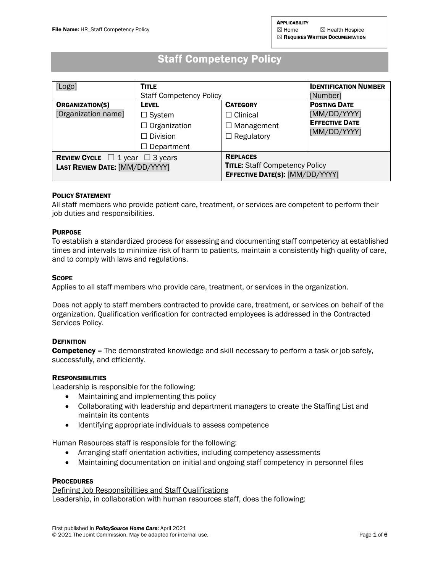# Staff Competency Policy

| [Logo]                                                                             | <b>TITLE</b><br><b>Staff Competency Policy</b>                                               |                                                                                             | <b>IDENTIFICATION NUMBER</b><br>[Number]                                     |
|------------------------------------------------------------------------------------|----------------------------------------------------------------------------------------------|---------------------------------------------------------------------------------------------|------------------------------------------------------------------------------|
| <b>ORGANIZATION(S)</b><br>[Organization name]                                      | <b>LEVEL</b><br>$\Box$ System<br>$\Box$ Organization<br>$\Box$ Division<br>$\Box$ Department | <b>CATEGORY</b><br>$\Box$ Clinical<br>$\Box$ Management<br>$\Box$ Regulatory                | <b>POSTING DATE</b><br>[MM/DD/YYYY]<br><b>EFFECTIVE DATE</b><br>[MM/DD/YYYY] |
| <b>REVIEW CYCLE</b> $\Box$ 1 year $\Box$ 3 years<br>LAST REVIEW DATE: [MM/DD/YYYY] |                                                                                              | <b>REPLACES</b><br><b>TITLE: Staff Competency Policy</b><br>EFFECTIVE DATE(S): [MM/DD/YYYY] |                                                                              |

# POLICY STATEMENT

All staff members who provide patient care, treatment, or services are competent to perform their job duties and responsibilities.

# **PURPOSE**

To establish a standardized process for assessing and documenting staff competency at established times and intervals to minimize risk of harm to patients, maintain a consistently high quality of care, and to comply with laws and regulations.

# **SCOPE**

Applies to all staff members who provide care, treatment, or services in the organization.

Does not apply to staff members contracted to provide care, treatment, or services on behalf of the organization. Qualification verification for contracted employees is addressed in the Contracted Services Policy.

# **DEFINITION**

**Competency** – The demonstrated knowledge and skill necessary to perform a task or job safely. successfully, and efficiently.

# **RESPONSIBILITIES**

Leadership is responsible for the following:

- Maintaining and implementing this policy
- Collaborating with leadership and department managers to create the Staffing List and maintain its contents
- Identifying appropriate individuals to assess competence

Human Resources staff is responsible for the following:

- Arranging staff orientation activities, including competency assessments
- Maintaining documentation on initial and ongoing staff competency in personnel files

# **PROCEDURES**

Defining Job Responsibilities and Staff Qualifications Leadership, in collaboration with human resources staff, does the following: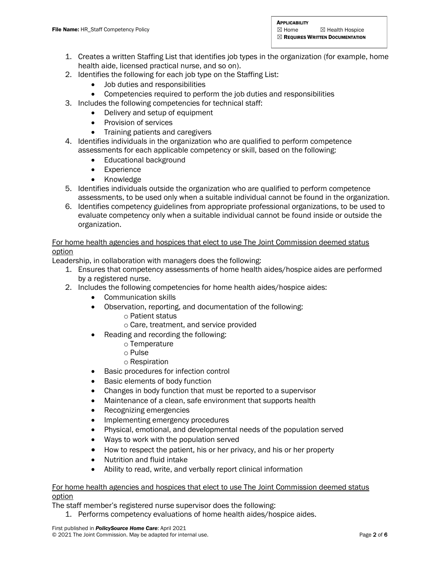- 1. Creates a written Staffing List that identifies job types in the organization (for example, home health aide, licensed practical nurse, and so on).
- 2. Identifies the following for each job type on the Staffing List:
	- Job duties and responsibilities
	- Competencies required to perform the job duties and responsibilities
- 3. Includes the following competencies for technical staff:
	- Delivery and setup of equipment
	- Provision of services
	- Training patients and caregivers
- 4. Identifies individuals in the organization who are qualified to perform competence assessments for each applicable competency or skill, based on the following:
	- Educational background
	- Experience
	- Knowledge
- 5. Identifies individuals outside the organization who are qualified to perform competence assessments, to be used only when a suitable individual cannot be found in the organization.
- 6. Identifies competency guidelines from appropriate professional organizations, to be used to evaluate competency only when a suitable individual cannot be found inside or outside the organization.

# For home health agencies and hospices that elect to use The Joint Commission deemed status option

Leadership, in collaboration with managers does the following:

- 1. Ensures that competency assessments of home health aides/hospice aides are performed by a registered nurse.
- 2. Includes the following competencies for home health aides/hospice aides:
	- Communication skills
	- Observation, reporting, and documentation of the following:
		- o Patient status
		- o Care, treatment, and service provided
	- Reading and recording the following:
		- o Temperature
		- o Pulse
		- o Respiration
	- Basic procedures for infection control
	- Basic elements of body function
	- Changes in body function that must be reported to a supervisor
	- Maintenance of a clean, safe environment that supports health
	- Recognizing emergencies
	- Implementing emergency procedures
	- Physical, emotional, and developmental needs of the population served
	- Ways to work with the population served
	- How to respect the patient, his or her privacy, and his or her property
	- Nutrition and fluid intake
	- Ability to read, write, and verbally report clinical information

# For home health agencies and hospices that elect to use The Joint Commission deemed status option

The staff member's registered nurse supervisor does the following:

1. Performs competency evaluations of home health aides/hospice aides.

First published in *PolicySource Home Care*: April 2021 © 2021 The Joint Commission. May be adapted for internal use. Page 2 of 6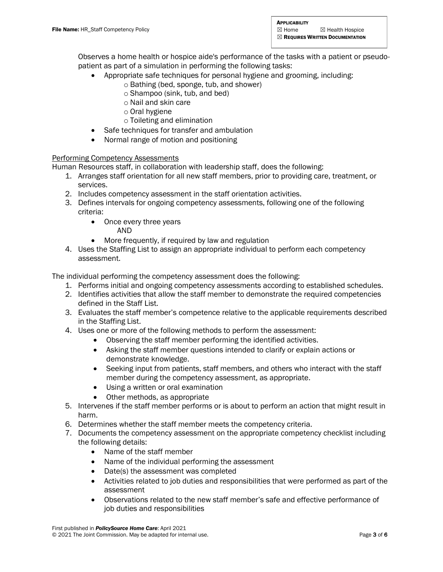Observes a home health or hospice aide's performance of the tasks with a patient or pseudopatient as part of a simulation in performing the following tasks:

- Appropriate safe techniques for personal hygiene and grooming, including:
	- o Bathing (bed, sponge, tub, and shower)
	- o Shampoo (sink, tub, and bed)
	- o Nail and skin care
	- o Oral hygiene
	- o Toileting and elimination
- Safe techniques for transfer and ambulation
- Normal range of motion and positioning

# Performing Competency Assessments

Human Resources staff, in collaboration with leadership staff, does the following:

- 1. Arranges staff orientation for all new staff members, prior to providing care, treatment, or services.
- 2. Includes competency assessment in the staff orientation activities.
- 3. Defines intervals for ongoing competency assessments, following one of the following criteria:
	- Once every three years AND
	- More frequently, if required by law and regulation
- 4. Uses the Staffing List to assign an appropriate individual to perform each competency assessment.

The individual performing the competency assessment does the following:

- 1. Performs initial and ongoing competency assessments according to established schedules.
- 2. Identifies activities that allow the staff member to demonstrate the required competencies defined in the Staff List.
- 3. Evaluates the staff member's competence relative to the applicable requirements described in the Staffing List.
- 4. Uses one or more of the following methods to perform the assessment:
	- Observing the staff member performing the identified activities.
		- Asking the staff member questions intended to clarify or explain actions or demonstrate knowledge.
		- Seeking input from patients, staff members, and others who interact with the staff member during the competency assessment, as appropriate.
		- Using a written or oral examination
		- Other methods, as appropriate
- 5. Intervenes if the staff member performs or is about to perform an action that might result in harm.
- 6. Determines whether the staff member meets the competency criteria.
- 7. Documents the competency assessment on the appropriate competency checklist including the following details:
	- Name of the staff member
	- Name of the individual performing the assessment
	- Date(s) the assessment was completed
	- Activities related to job duties and responsibilities that were performed as part of the assessment
	- Observations related to the new staff member's safe and effective performance of job duties and responsibilities

First published in *PolicySource Home Care*: April 2021 © 2021 The Joint Commission. May be adapted for internal use. example and the state of the state of the Page 3 of 6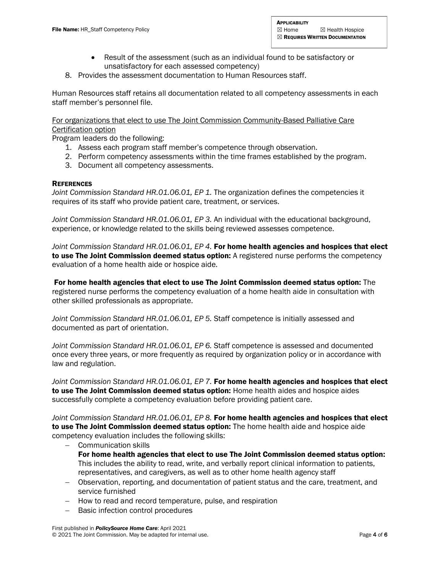- Result of the assessment (such as an individual found to be satisfactory or unsatisfactory for each assessed competency)
- 8. Provides the assessment documentation to Human Resources staff.

Human Resources staff retains all documentation related to all competency assessments in each staff member's personnel file.

# For organizations that elect to use The Joint Commission Community-Based Palliative Care Certification option

Program leaders do the following:

- 1. Assess each program staff member's competence through observation.
- 2. Perform competency assessments within the time frames established by the program.
- 3. Document all competency assessments.

# **REFERENCES**

*Joint Commission Standard HR.01.06.01, EP 1.* The organization defines the competencies it requires of its staff who provide patient care, treatment, or services.

*Joint Commission Standard HR.01.06.01, EP 3.* An individual with the educational background, experience, or knowledge related to the skills being reviewed assesses competence.

*Joint Commission Standard HR.01.06.01, EP 4.* For home health agencies and hospices that elect to use The Joint Commission deemed status option: A registered nurse performs the competency evaluation of a home health aide or hospice aide.

For home health agencies that elect to use The Joint Commission deemed status option: The registered nurse performs the competency evaluation of a home health aide in consultation with other skilled professionals as appropriate.

*Joint Commission Standard HR.01.06.01, EP 5.* Staff competence is initially assessed and documented as part of orientation.

*Joint Commission Standard HR.01.06.01, EP 6.* Staff competence is assessed and documented once every three years, or more frequently as required by organization policy or in accordance with law and regulation.

*Joint Commission Standard HR.01.06.01, EP 7.* For home health agencies and hospices that elect to use The Joint Commission deemed status option: Home health aides and hospice aides successfully complete a competency evaluation before providing patient care.

*Joint Commission Standard HR.01.06.01, EP 8.* For home health agencies and hospices that elect to use The Joint Commission deemed status option: The home health aide and hospice aide competency evaluation includes the following skills:

- − Communication skills
	- For home health agencies that elect to use The Joint Commission deemed status option: This includes the ability to read, write, and verbally report clinical information to patients, representatives, and caregivers, as well as to other home health agency staff
- − Observation, reporting, and documentation of patient status and the care, treatment, and service furnished
- − How to read and record temperature, pulse, and respiration
- Basic infection control procedures

First published in *PolicySource Home Care*: April 2021 © 2021 The Joint Commission. May be adapted for internal use. example and the state of 6 of 6 of 6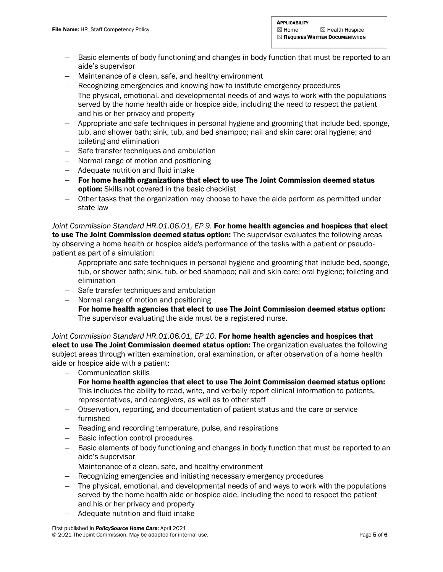- − Basic elements of body functioning and changes in body function that must be reported to an aide's supervisor
- − Maintenance of a clean, safe, and healthy environment
- Recognizing emergencies and knowing how to institute emergency procedures
- − The physical, emotional, and developmental needs of and ways to work with the populations served by the home health aide or hospice aide, including the need to respect the patient and his or her privacy and property
- − Appropriate and safe techniques in personal hygiene and grooming that include bed, sponge, tub, and shower bath; sink, tub, and bed shampoo; nail and skin care; oral hygiene; and toileting and elimination
- − Safe transfer techniques and ambulation
- − Normal range of motion and positioning
- − Adequate nutrition and fluid intake
- − For home health organizations that elect to use The Joint Commission deemed status option: Skills not covered in the basic checklist
- − Other tasks that the organization may choose to have the aide perform as permitted under state law

*Joint Commission Standard HR.01.06.01, EP 9.* For home health agencies and hospices that elect to use The Joint Commission deemed status option: The supervisor evaluates the following areas by observing a home health or hospice aide's performance of the tasks with a patient or pseudopatient as part of a simulation:

- − Appropriate and safe techniques in personal hygiene and grooming that include bed, sponge, tub, or shower bath; sink, tub, or bed shampoo; nail and skin care; oral hygiene; toileting and elimination
- − Safe transfer techniques and ambulation
- − Normal range of motion and positioning
	- For home health agencies that elect to use The Joint Commission deemed status option: The supervisor evaluating the aide must be a registered nurse.

*Joint Commission Standard HR.01.06.01, EP 10.* For home health agencies and hospices that elect to use The Joint Commission deemed status option: The organization evaluates the following subject areas through written examination, oral examination, or after observation of a home health aide or hospice aide with a patient:

− Communication skills

For home health agencies that elect to use The Joint Commission deemed status option: This includes the ability to read, write, and verbally report clinical information to patients, representatives, and caregivers, as well as to other staff

- − Observation, reporting, and documentation of patient status and the care or service furnished
- − Reading and recording temperature, pulse, and respirations
- − Basic infection control procedures
- − Basic elements of body functioning and changes in body function that must be reported to an aide's supervisor
- − Maintenance of a clean, safe, and healthy environment
- − Recognizing emergencies and initiating necessary emergency procedures
- − The physical, emotional, and developmental needs of and ways to work with the populations served by the home health aide or hospice aide, including the need to respect the patient and his or her privacy and property
- − Adequate nutrition and fluid intake

First published in *PolicySource Home Care*: April 2021 © 2021 The Joint Commission. May be adapted for internal use. example and the state of 6 of 6 of 6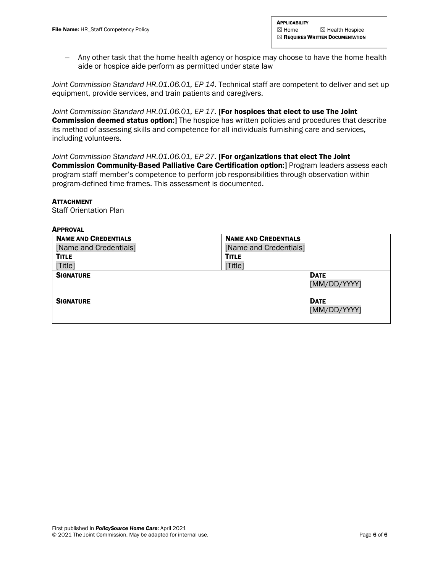− Any other task that the home health agency or hospice may choose to have the home health aide or hospice aide perform as permitted under state law

*Joint Commission Standard HR.01.06.01, EP 14*. Technical staff are competent to deliver and set up equipment, provide services, and train patients and caregivers.

*Joint Commission Standard HR.01.06.01, EP 17.* [For hospices that elect to use The Joint **Commission deemed status option:**] The hospice has written policies and procedures that describe its method of assessing skills and competence for all individuals furnishing care and services, including volunteers.

Joint Commission Standard HR.01.06.01, EP 27. [For organizations that elect The Joint Commission Community-Based Palliative Care Certification option:] Program leaders assess each program staff member's competence to perform job responsibilities through observation within program-defined time frames. This assessment is documented.

#### **ATTACHMENT**

Staff Orientation Plan

#### **APPROVAL**

| <b>NAME AND CREDENTIALS</b> | <b>NAME AND CREDENTIALS</b> |              |
|-----------------------------|-----------------------------|--------------|
| [Name and Credentials]      | [Name and Credentials]      |              |
| <b>TITLE</b>                | <b>TITLE</b>                |              |
| [Title]                     | [Title]                     |              |
| <b>SIGNATURE</b>            |                             | <b>DATE</b>  |
|                             |                             | [MM/DD/YYYY] |
|                             |                             |              |
| <b>SIGNATURE</b>            |                             | <b>DATE</b>  |
|                             |                             | [MM/DD/YYYY] |
|                             |                             |              |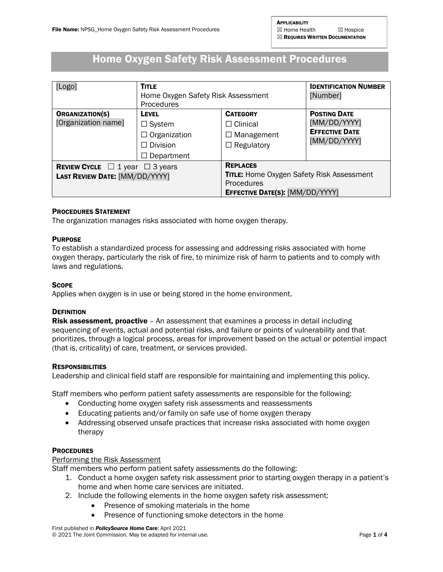# Home Oxygen Safety Risk Assessment Procedures

| [Logo]                                                                             | <b>TITLE</b><br>Home Oxygen Safety Risk Assessment<br>Procedures                      |                                                                                                                             | <b>IDENTIFICATION NUMBER</b><br>[Number]                                     |
|------------------------------------------------------------------------------------|---------------------------------------------------------------------------------------|-----------------------------------------------------------------------------------------------------------------------------|------------------------------------------------------------------------------|
| <b>ORGANIZATION(S)</b><br>[Organization name]                                      | LEVEL<br>$\Box$ System<br>$\Box$ Organization<br>$\Box$ Division<br>$\Box$ Department | <b>CATEGORY</b><br>$\Box$ Clinical<br>$\Box$ Management<br>$\Box$ Regulatory                                                | <b>POSTING DATE</b><br>[MM/DD/YYYY]<br><b>EFFECTIVE DATE</b><br>[MM/DD/YYYY] |
| <b>REVIEW CYCLE</b> $\Box$ 1 year $\Box$ 3 years<br>LAST REVIEW DATE: [MM/DD/YYYY] |                                                                                       | <b>REPLACES</b><br><b>TITLE:</b> Home Oxygen Safety Risk Assessment<br>Procedures<br><b>EFFECTIVE DATE(S): [MM/DD/YYYY]</b> |                                                                              |

# PROCEDURES STATEMENT

The organization manages risks associated with home oxygen therapy.

# **PURPOSE**

To establish a standardized process for assessing and addressing risks associated with home oxygen therapy, particularly the risk of fire, to minimize risk of harm to patients and to comply with laws and regulations.

# **SCOPE**

Applies when oxygen is in use or being stored in the home environment.

# **DEFINITION**

Risk assessment, proactive - An assessment that examines a process in detail including sequencing of events, actual and potential risks, and failure or points of vulnerability and that prioritizes, through a logical process, areas for improvement based on the actual or potential impact (that is, criticality) of care, treatment, or services provided.

# **RESPONSIBILITIES**

Leadership and clinical field staff are responsible for maintaining and implementing this policy.

Staff members who perform patient safety assessments are responsible for the following:

- Conducting home oxygen safety risk assessments and reassessments
- Educating patients and/or family on safe use of home oxygen therapy
- Addressing observed unsafe practices that increase risks associated with home oxygen therapy

# **PROCEDURES**

# Performing the Risk Assessment

Staff members who perform patient safety assessments do the following:

- 1. Conduct a home oxygen safety risk assessment prior to starting oxygen therapy in a patient's home and when home care services are initiated.
- 2. Include the following elements in the home oxygen safety risk assessment:
	- Presence of smoking materials in the home
	- Presence of functioning smoke detectors in the home

First published in *PolicySource Home Care*: April 2021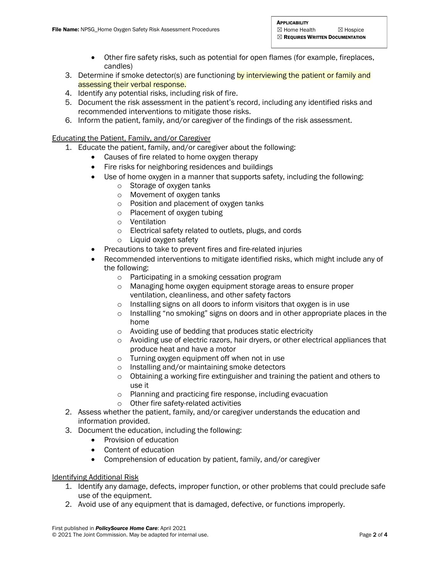- Other fire safety risks, such as potential for open flames (for example, fireplaces, candles)
- 3. Determine if smoke detector(s) are functioning by interviewing the patient or family and assessing their verbal response.
- 4. Identify any potential risks, including risk of fire.
- 5. Document the risk assessment in the patient's record, including any identified risks and recommended interventions to mitigate those risks.
- 6. Inform the patient, family, and/or caregiver of the findings of the risk assessment.

# Educating the Patient, Family, and/or Caregiver

- 1. Educate the patient, family, and/or caregiver about the following:
	- Causes of fire related to home oxygen therapy
	- Fire risks for neighboring residences and buildings
	- Use of home oxygen in a manner that supports safety, including the following:
		- o Storage of oxygen tanks
		- o Movement of oxygen tanks
		- o Position and placement of oxygen tanks
		- o Placement of oxygen tubing
		- o Ventilation
		- o Electrical safety related to outlets, plugs, and cords
		- o Liquid oxygen safety
	- Precautions to take to prevent fires and fire-related injuries
	- Recommended interventions to mitigate identified risks, which might include any of the following:
		- o Participating in a smoking cessation program
		- o Managing home oxygen equipment storage areas to ensure proper ventilation, cleanliness, and other safety factors
		- o Installing signs on all doors to inform visitors that oxygen is in use
		- o Installing "no smoking" signs on doors and in other appropriate places in the home
		- o Avoiding use of bedding that produces static electricity
		- $\circ$  Avoiding use of electric razors, hair dryers, or other electrical appliances that produce heat and have a motor
		- o Turning oxygen equipment off when not in use
		- o Installing and/or maintaining smoke detectors
		- $\circ$  Obtaining a working fire extinguisher and training the patient and others to use it
		- o Planning and practicing fire response, including evacuation
		- o Other fire safety-related activities
- 2. Assess whether the patient, family, and/or caregiver understands the education and information provided.
- 3. Document the education, including the following:
	- Provision of education
	- Content of education
	- Comprehension of education by patient, family, and/or caregiver

# Identifying Additional Risk

- 1. Identify any damage, defects, improper function, or other problems that could preclude safe use of the equipment.
- 2. Avoid use of any equipment that is damaged, defective, or functions improperly.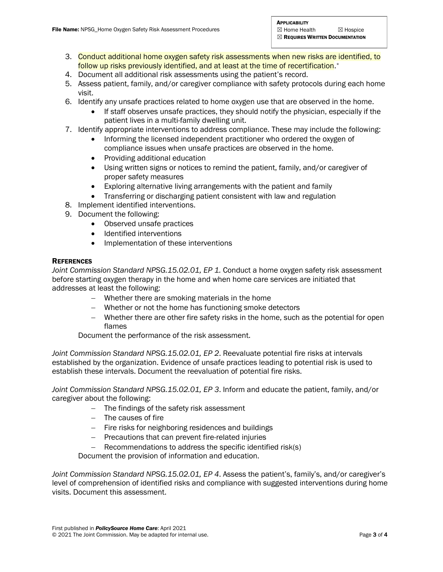- 3. Conduct additional home oxygen safety risk assessments when new risks are identified, to follow up risks previously identified, and at least at the time of recertification.<sup>\*</sup>
- 4. Document all additional risk assessments using the patient's record.
- 5. Assess patient, family, and/or caregiver compliance with safety protocols during each home visit.
- 6. Identify any unsafe practices related to home oxygen use that are observed in the home.
	- If staff observes unsafe practices, they should notify the physician, especially if the patient lives in a multi-family dwelling unit.
- 7. Identify appropriate interventions to address compliance. These may include the following:
	- Informing the licensed independent practitioner who ordered the oxygen of compliance issues when unsafe practices are observed in the home.
	- Providing additional education
	- Using written signs or notices to remind the patient, family, and/or caregiver of proper safety measures
	- Exploring alternative living arrangements with the patient and family
	- Transferring or discharging patient consistent with law and regulation
- 8. Implement identified interventions.
- 9. Document the following:
	- Observed unsafe practices
	- Identified interventions
	- Implementation of these interventions

# **REFERENCES**

*Joint Commission Standard NPSG.15.02.01, EP 1.* Conduct a home oxygen safety risk assessment before starting oxygen therapy in the home and when home care services are initiated that addresses at least the following:

- − Whether there are smoking materials in the home
- − Whether or not the home has functioning smoke detectors
- − Whether there are other fire safety risks in the home, such as the potential for open flames

Document the performance of the risk assessment.

*Joint Commission Standard NPSG.15.02.01, EP 2*. Reevaluate potential fire risks at intervals established by the organization. Evidence of unsafe practices leading to potential risk is used to establish these intervals. Document the reevaluation of potential fire risks.

*Joint Commission Standard NPSG.15.02.01, EP 3*. Inform and educate the patient, family, and/or caregiver about the following:

- − The findings of the safety risk assessment
- − The causes of fire
- − Fire risks for neighboring residences and buildings
- − Precautions that can prevent fire-related injuries
- − Recommendations to address the specific identified risk(s)

Document the provision of information and education.

*Joint Commission Standard NPSG.15.02.01, EP 4*. Assess the patient's, family's, and/or caregiver's level of comprehension of identified risks and compliance with suggested interventions during home visits. Document this assessment.